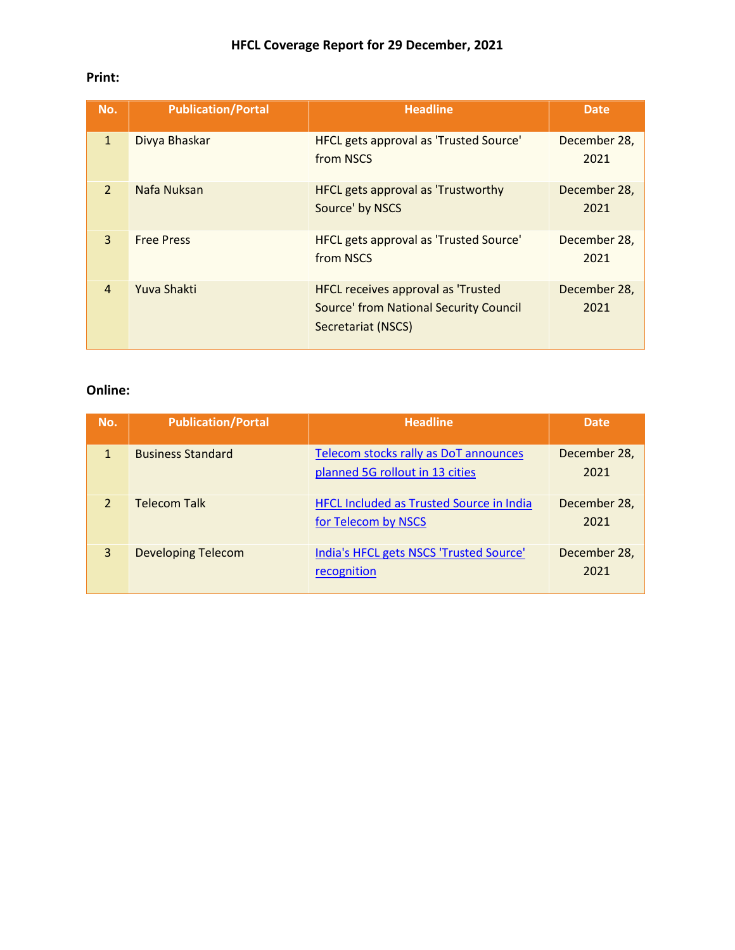## **Print:**

| No.            | <b>Publication/Portal</b> | <b>Headline</b>                                                                                                  | <b>Date</b>          |
|----------------|---------------------------|------------------------------------------------------------------------------------------------------------------|----------------------|
| $\mathbf{1}$   | Divya Bhaskar             | HFCL gets approval as 'Trusted Source'<br>from NSCS                                                              | December 28,<br>2021 |
| $\overline{2}$ | Nafa Nuksan               | <b>HFCL gets approval as 'Trustworthy</b><br>Source' by NSCS                                                     | December 28,<br>2021 |
| 3              | <b>Free Press</b>         | HFCL gets approval as 'Trusted Source'<br>from NSCS                                                              | December 28,<br>2021 |
| $\overline{4}$ | Yuva Shakti               | <b>HFCL receives approval as 'Trusted</b><br><b>Source' from National Security Council</b><br>Secretariat (NSCS) | December 28,<br>2021 |

## **Online:**

| No.          | <b>Publication/Portal</b> | <b>Headline</b>                                                          | <b>Date</b>          |
|--------------|---------------------------|--------------------------------------------------------------------------|----------------------|
| $\mathbf{1}$ | <b>Business Standard</b>  | Telecom stocks rally as DoT announces<br>planned 5G rollout in 13 cities | December 28,<br>2021 |
|              | <b>Telecom Talk</b>       | <b>HFCL Included as Trusted Source in India</b><br>for Telecom by NSCS   | December 28,<br>2021 |
| 3            | <b>Developing Telecom</b> | India's HFCL gets NSCS 'Trusted Source'<br>recognition                   | December 28,<br>2021 |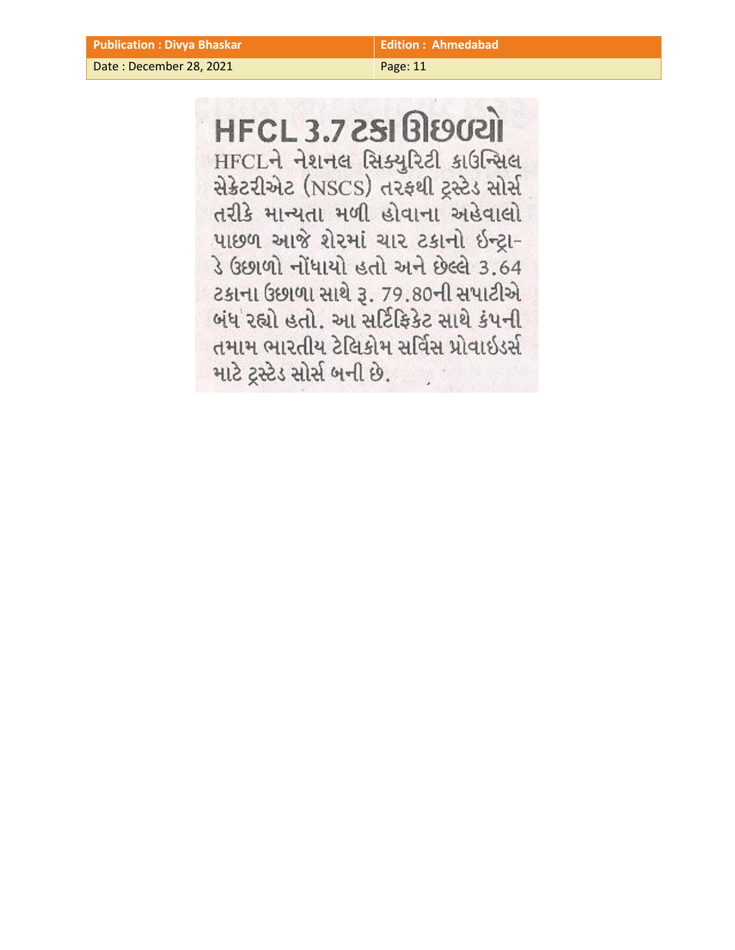Date : December 28, 2021 Page: 11

**HFCL 3.7 2SI BISOCAI** HFCLને નેશનલ સિક્યુરિટી કાઉન્સિલ સેક્રેટરીએટ (NSCS) તરફથી ટ્રસ્ટેડ સોર્સ તરીકે માન્યતા મળી હોવાના અહેવાલો પાછળ આજે શેરમાં ચાર ટકાનો ઇન્ટ્રા-ડે ઉછાળો નોંધાયો હતો અને છેલ્લે 3.64 ટકાના ઉછાળા સાથે રૂ. 79.80ની સપાટીએ બંધ રહ્યો હતો. આ સર્ટિફિકેટ સાથે કંપની તમામ ભારતીય ટેલિકોમ સર્વિસ પ્રોવાઇડર્સ માટે ટ્રસ્ટેડ સોર્સ બની છે.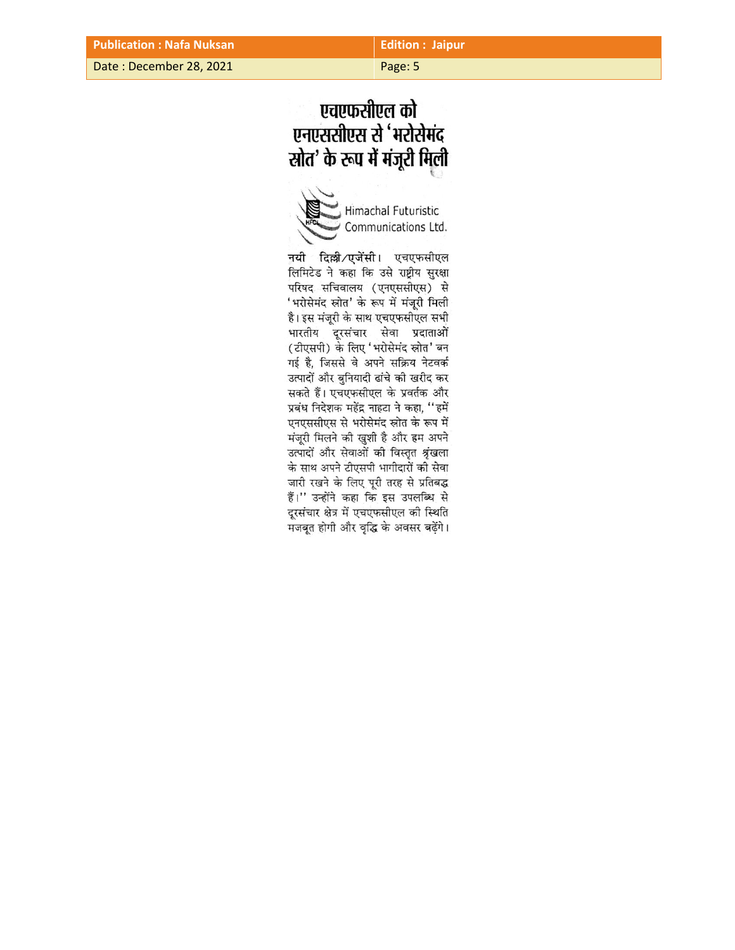Date : December 28, 2021 Page: 5

## एचएफसीएल को एनएससीएस से 'भरोसेमंद स्रोत' के रूप में मंजूरी मिली

Himachal Futuristic Communications Ltd.

नयी दिल्ली/एजेंसी। एचएफसीएल लिमिटेड ने कहा कि उसे राष्ट्रीय सुरक्षा परिषद सचिवालय (एनएससीएस) से 'भरोसेमंद स्रोत' के रूप में मंजूरी मिली है। इस मंजूरी के साथ एचएफसीएल सभी भारतीय दूरसंचार सेवा प्रदाताओं (टीएसपी) के लिए 'भरोसेमंद स्रोत' बन गई है, जिससे वे अपने सक्रिय नेटवर्क उत्पादों और बुनियादी ढांचे की खरीद कर सकते हैं। एचएफसीएल के प्रवर्तक और प्रबंध निदेशक महेंद्र नाहटा ने कहा, "हमें एनएससीएस से भरोसेमंद स्रोत के रूप में मंजूरी मिलने की खुशी है और हम अपने उत्पादों और सेवाओं की विस्तृत श्रृंखला के साथ अपने टीएसपी भागीदारों की सेवा जारी रखने के लिए पूरी तरह से प्रतिबद्ध हैं।" उन्होंने कहा कि इस उपलब्धि से दूरसंचार क्षेत्र में एचएफसीएल की स्थिति मजबूत होगी और वृद्धि के अवसर बढ़ेंगे।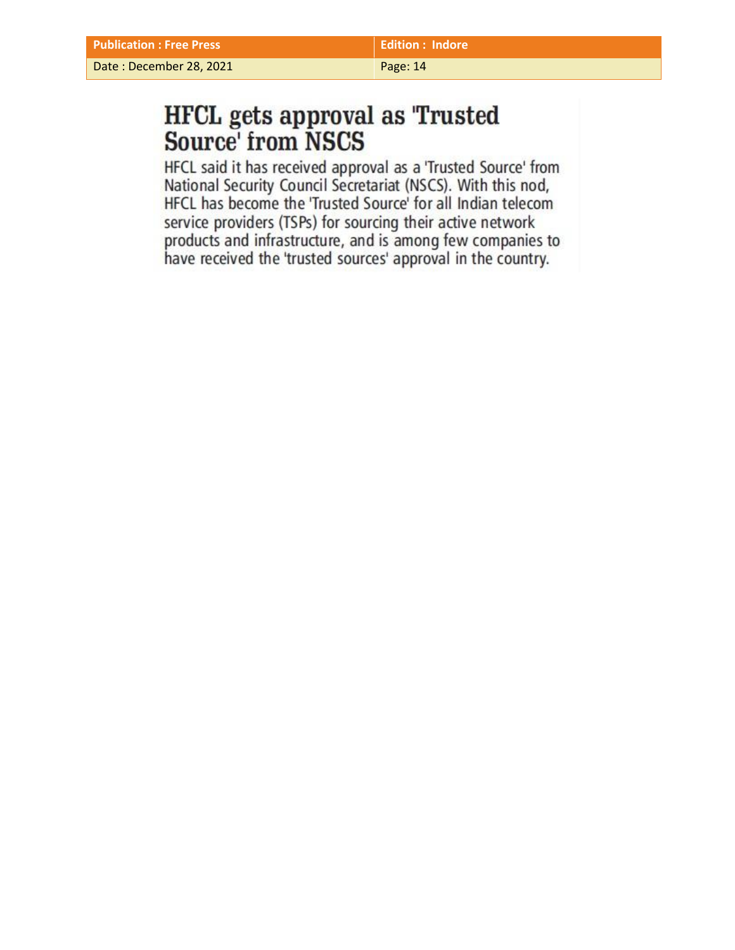Date : December 28, 2021 **Page: 14** 

# **HFCL** gets approval as 'Trusted Source' from NSCS

HFCL said it has received approval as a 'Trusted Source' from National Security Council Secretariat (NSCS). With this nod, HFCL has become the 'Trusted Source' for all Indian telecom service providers (TSPs) for sourcing their active network products and infrastructure, and is among few companies to have received the 'trusted sources' approval in the country.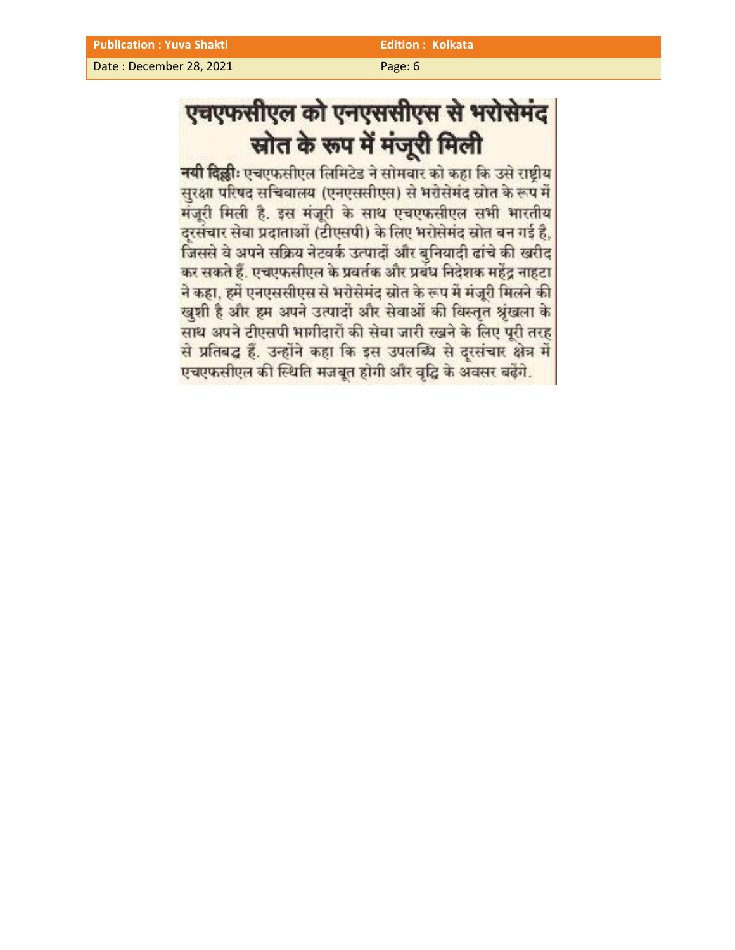Date : December 28, 2021 **Page: 6** Page: 6

# एचएफसीएल को एनएससीएस से भरोसेमंद स्रोत के रूप में मंजूरी मिली

नयी दिल्लीः एचएफसीएल लिमिटेड ने सोमवार को कहा कि उसे राष्ट्रीय सुरक्षा परिषद सचिवालय (एनएससीएस) से भरोसेमंद स्रोत के रूप में मंजूरी मिली है. इस मंजूरी के साथ एचएफसीएल सभी भारतीय दरसंचार सेवा प्रदाताओं (टीएसपी) के लिए भरोसेमंद स्रोत बन गई है, जिससे वे अपने सक्रिय नेटवर्क उत्पादों और बुनियादी ढांचे की खरीद कर सकते हैं. एचएफसीएल के प्रवर्तक और प्रबंध निदेशक महेंद्र नाहटा ने कहा, हमें एनएससीएस से भरोसेमंद स्रोत के रूप में मंजूरी मिलने की खुशी है और हम अपने उत्पादों और सेवाओं की विस्तृत श्रृंखला के साथ अपने टीएसपी भागीदारों की सेवा जारी रखने के लिए पूरी तरह से प्रतिबद्ध हैं. उन्होंने कहा कि इस उपलब्धि से दरसंचार क्षेत्र में एचएफसीएल की स्थिति मजबूत होगी और वृद्धि के अवसर बढ़ेंगे.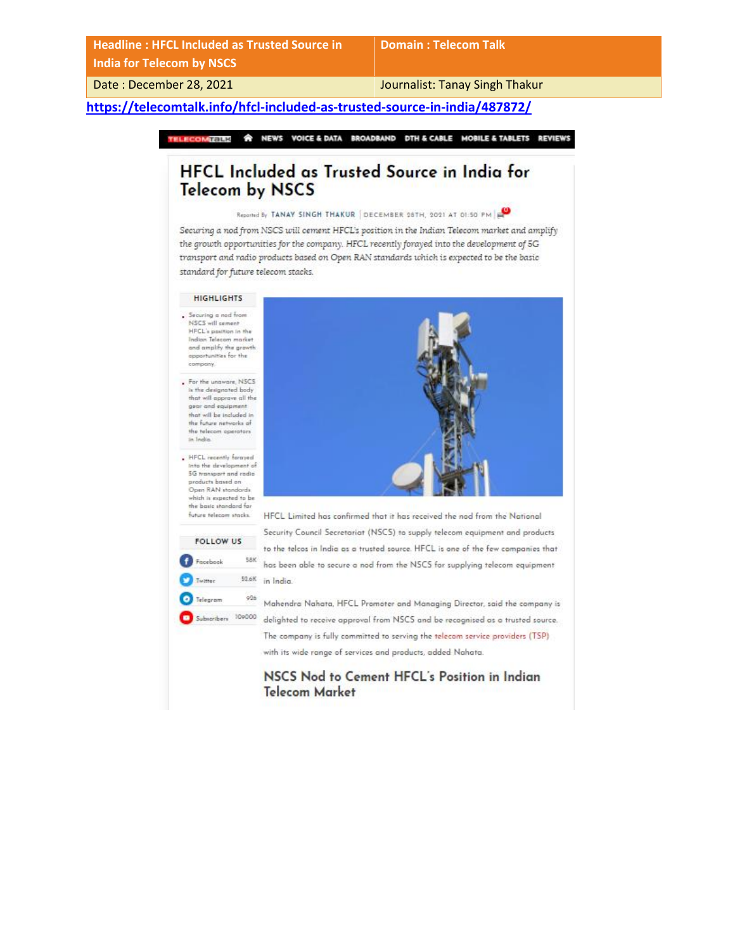**Headline : HFCL Included as Trusted Source in India for Telecom by NSCS**

**Domain : Telecom Talk**

Date : December 28, 2021 **Journalist: Tanay Singh Thakur** 

### **<https://telecomtalk.info/hfcl-included-as-trusted-source-in-india/487872/>**

**A NEWS VOICE & DATA BROADBAND DTH & CABLE MOBILE & TABLETS REVIEWS** TELECOMTALK

## HFCL Included as Trusted Source in India for **Telecom by NSCS**

#### Reported By TANAY SINGH THAKUR DECEMBER 28TH, 2021 AT 01:50 PM

Securing a nod from NSCS will cement HFCL's position in the Indian Telecom market and amplify the growth opportunities for the company. HFCL recently forayed into the development of 5G transport and radio products based on Open RAN standards which is expected to be the basic standard for future telecom stacks.

#### **HIGHLIGHTS**

- $\Box$  Securing a nod from NSCS will cement HFCL's position in the Indian Telecom market and amplify the growth opportunities for the company.
- For the unaware, NSCS is the designated body that will approve all the gear and equipment that will be included in the future networks of the telecom operators in India
- . HFCL recently forayed nto the develop 5G transport and radio products based on Open RAN standards which is expected to be the basic standard for future telecom stacks.

FOLLOW US

**58K** 

52.6K

 $926$ 

Facebook

**D** Telegram

Twitter

Subscribers 109000



HFCL Limited has confirmed that it has received the nad from the National Security Council Secretariat (NSCS) to supply telecom equipment and products to the telcos in India as a trusted source. HFCL is one of the few companies that has been able to secure a nod from the NSCS for supplying telecom equipment in India.

Mahendra Nahata, HFCL Promoter and Managing Director, said the company is delighted to receive approval from NSCS and be recognised as a trusted source. The company is fully committed to serving the telecom service providers (TSP) with its wide range of services and products, added Nahata.

NSCS Nod to Cement HFCL's Position in Indian **Telecom Market**